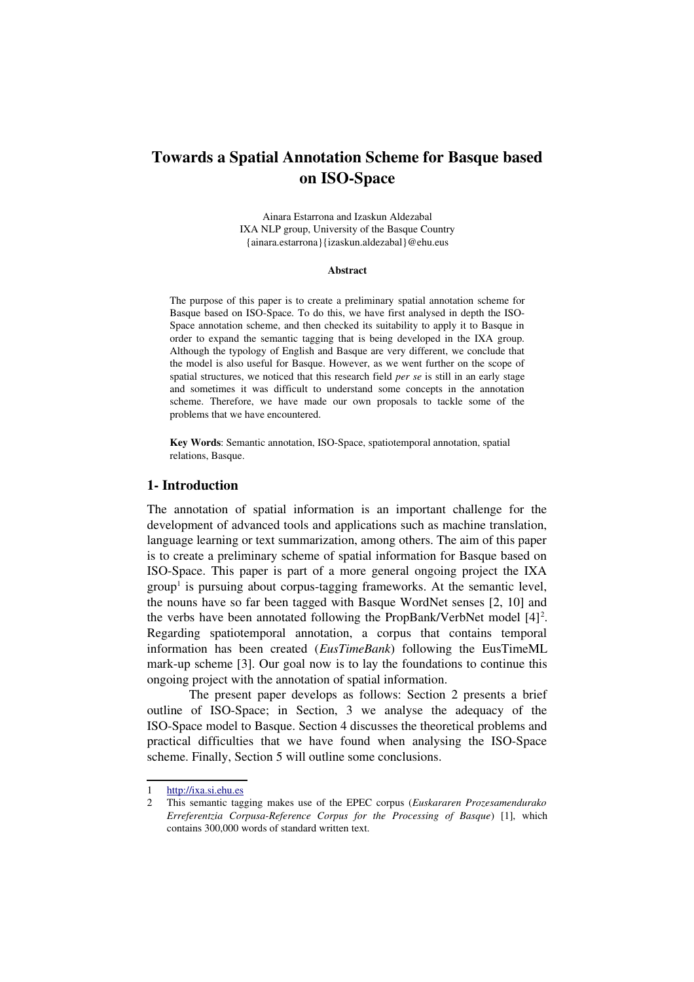# Towards a Spatial Annotation Scheme for Basque based on ISO-Space

Ainara Estarrona and Izaskun Aldezabal IXA NLP group, University of the Basque Country {ainara.estarrona}{izaskun.aldezabal}@ehu.eus

### **Abstract**

The purpose of this paper is to create a preliminary spatial annotation scheme for Basque based on ISO-Space. To do this, we have first analysed in depth the ISO-Space annotation scheme, and then checked its suitability to apply it to Basque in order to expand the semantic tagging that is being developed in the IXA group. Although the typology of English and Basque are very different, we conclude that the model is also useful for Basque. However, as we went further on the scope of spatial structures, we noticed that this research field *per se* is still in an early stage and sometimes it was difficult to understand some concepts in the annotation scheme. Therefore, we have made our own proposals to tackle some of the problems that we have encountered.

Key Words: Semantic annotation, ISO-Space, spatiotemporal annotation, spatial relations, Basque.

## 1- Introduction

The annotation of spatial information is an important challenge for the development of advanced tools and applications such as machine translation, language learning or text summarization, among others. The aim of this paper is to create a preliminary scheme of spatial information for Basque based on ISO-Space. This paper is part of a more general ongoing project the IXA  $group<sup>1</sup>$  $group<sup>1</sup>$  $group<sup>1</sup>$  is pursuing about corpus-tagging frameworks. At the semantic level, the nouns have so far been tagged with Basque WordNet senses [2, 10] and the verbs have been annotated following the PropBank/VerbNet model [4]<sup>[2](#page-0-1)</sup>. Regarding spatiotemporal annotation, a corpus that contains temporal information has been created (*EusTimeBank*) following the EusTimeML mark-up scheme  $[3]$ . Our goal now is to lay the foundations to continue this ongoing project with the annotation of spatial information.

The present paper develops as follows: Section 2 presents a brief outline of  $ISO-Space$ ; in Section,  $3$  we analyse the adequacy of the ISO-Space model to Basque. Section 4 discusses the theoretical problems and practical difficulties that we have found when analysing the ISO-Space scheme. Finally, Section 5 will outline some conclusions.

<span id="page-0-0"></span><sup>1</sup> [http://ixa.si.ehu.es](http://ixa.si.ehu.es/) 

<span id="page-0-1"></span><sup>2</sup> This semantic tagging makes use of the EPEC corpus (*Euskararen Prozesamendurako Erreferentzia Corpusa-Reference Corpus for the Processing of Basque*) [1], which contains 300,000 words of standard written text.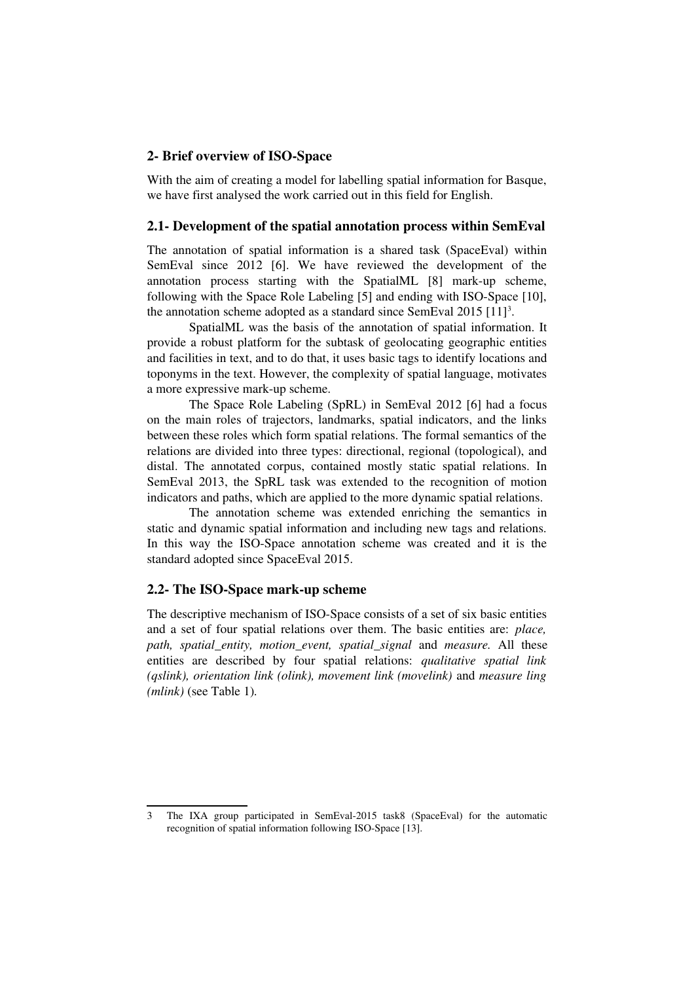## 2- Brief overview of ISO-Space

With the aim of creating a model for labelling spatial information for Basque, we have first analysed the work carried out in this field for English.

## 2.1 Development of the spatial annotation process within SemEval

The annotation of spatial information is a shared task (SpaceEval) within SemEval since 2012 [6]. We have reviewed the development of the annotation process starting with the SpatialML [8] mark-up scheme, following with the Space Role Labeling [5] and ending with ISO-Space [10], the annotation scheme adopted as a standard since SemEval  $2015$   $[11]$ <sup>[3](#page-1-0)</sup>.

SpatialML was the basis of the annotation of spatial information. It provide a robust platform for the subtask of geolocating geographic entities and facilities in text, and to do that, it uses basic tags to identify locations and toponyms in the text. However, the complexity of spatial language, motivates a more expressive mark-up scheme.

The Space Role Labeling (SpRL) in SemEval 2012 [6] had a focus on the main roles of trajectors, landmarks, spatial indicators, and the links between these roles which form spatial relations. The formal semantics of the relations are divided into three types: directional, regional (topological), and distal. The annotated corpus, contained mostly static spatial relations. In SemEval 2013, the SpRL task was extended to the recognition of motion indicators and paths, which are applied to the more dynamic spatial relations.

The annotation scheme was extended enriching the semantics in static and dynamic spatial information and including new tags and relations. In this way the ISO-Space annotation scheme was created and it is the standard adopted since SpaceEval 2015.

### 2.2- The ISO-Space mark-up scheme

The descriptive mechanism of ISO-Space consists of a set of six basic entities and a set of four spatial relations over them. The basic entities are: *place, path, spatial entity, motion event, spatial signal and measure. All these* entities are described by four spatial relations: *qualitative spatial link (qslink), orientation link (olink), movement link (movelink)* and *measure ling (mlink)* (see Table 1)*.* 

<span id="page-1-0"></span><sup>3</sup> The IXA group participated in SemEval-2015 task8 (SpaceEval) for the automatic recognition of spatial information following ISO-Space [13].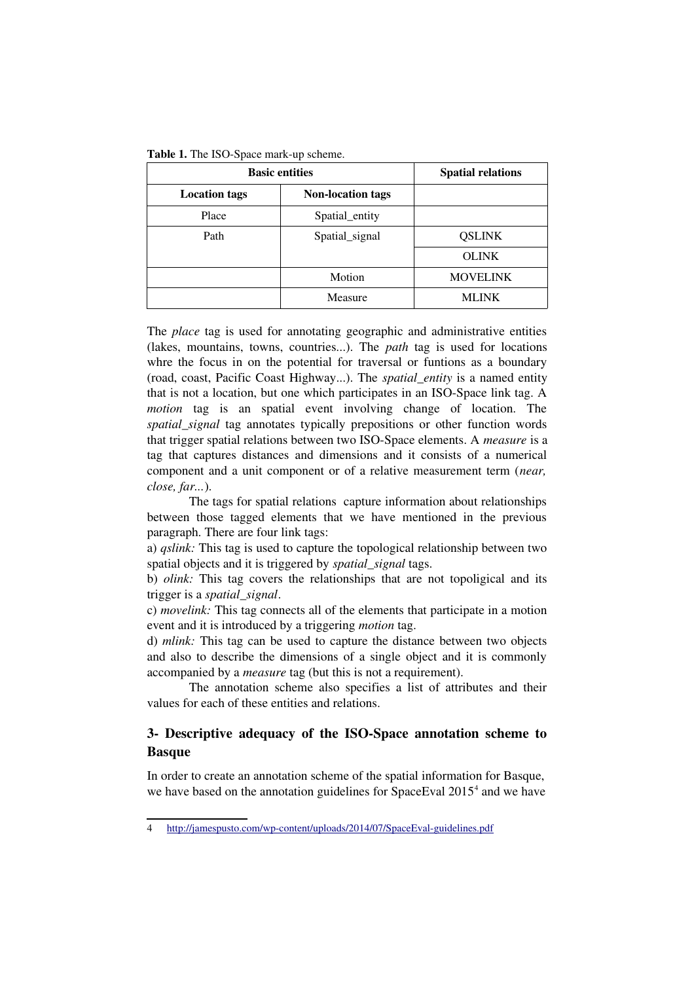| <b>Basic entities</b> |                          | <b>Spatial relations</b> |  |
|-----------------------|--------------------------|--------------------------|--|
| <b>Location tags</b>  | <b>Non-location tags</b> |                          |  |
| Place                 | Spatial_entity           |                          |  |
| Path                  | Spatial_signal           | <b>QSLINK</b>            |  |
|                       |                          | <b>OLINK</b>             |  |
|                       | Motion                   | <b>MOVELINK</b>          |  |
|                       | Measure                  | <b>MLINK</b>             |  |

The *place* tag is used for annotating geographic and administrative entities (lakes, mountains, towns, countries...). The *path* tag is used for locations whre the focus in on the potential for traversal or funtions as a boundary (road, coast, Pacific Coast Highway...). The *spatial\_entity* is a named entity that is not a location, but one which participates in an ISO-Space link tag. A *motion* tag is an spatial event involving change of location. The *spatial\_signal* tag annotates typically prepositions or other function words that trigger spatial relations between two ISO-Space elements. A *measure* is a tag that captures distances and dimensions and it consists of a numerical component and a unit component or of a relative measurement term (*near, close, far...*).

The tags for spatial relations capture information about relationships between those tagged elements that we have mentioned in the previous paragraph. There are four link tags:

a) *qslink:* This tag is used to capture the topological relationship between two spatial objects and it is triggered by *spatial\_signal* tags.

b) *olink*: This tag covers the relationships that are not topoligical and its trigger is a *spatial\_signal*.

c) *movelink:* This tag connects all of the elements that participate in a motion event and it is introduced by a triggering *motion* tag.

d) *mlink:* This tag can be used to capture the distance between two objects and also to describe the dimensions of a single object and it is commonly accompanied by a *measure* tag (but this is not a requirement).

The annotation scheme also specifies a list of attributes and their values for each of these entities and relations.

## 3- Descriptive adequacy of the ISO-Space annotation scheme to Basque

In order to create an annotation scheme of the spatial information for Basque, we have based on the annotation guidelines for SpaceEval 2015<sup>[4](#page-2-0)</sup> and we have

<span id="page-2-0"></span><sup>4</sup> http://jamespusto.com/wp-content/uploads/2014/07/SpaceEval-guidelines.pdf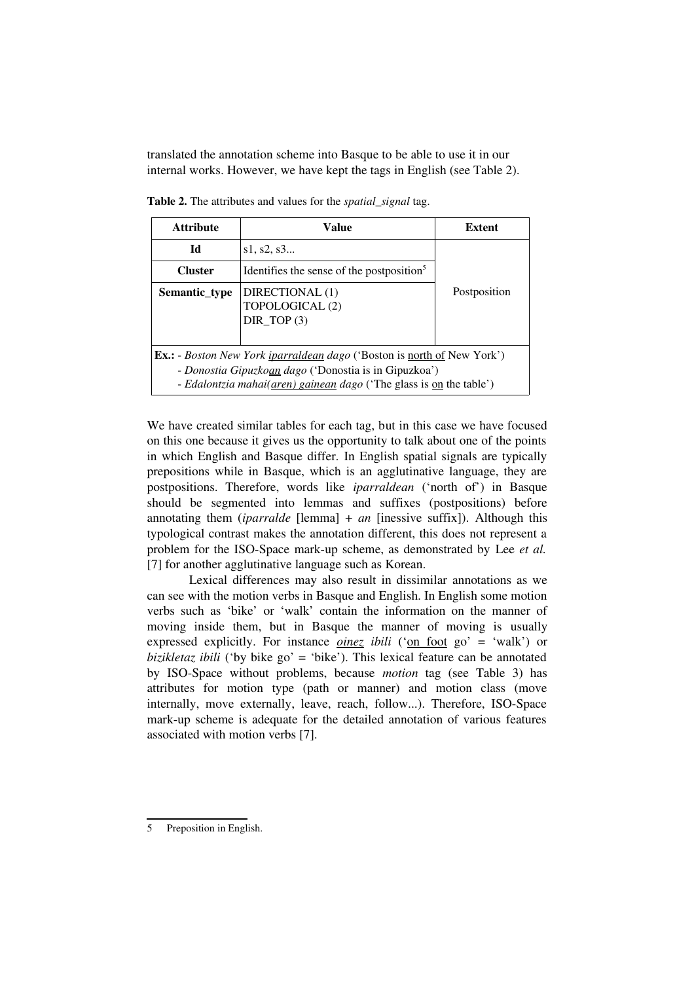translated the annotation scheme into Basque to be able to use it in our internal works. However, we have kept the tags in English (see Table 2).

| <b>Attribute</b>                                                                                                                                                                                                      | Value                                                 | <b>Extent</b> |
|-----------------------------------------------------------------------------------------------------------------------------------------------------------------------------------------------------------------------|-------------------------------------------------------|---------------|
| Id                                                                                                                                                                                                                    | s1, s2, s3                                            |               |
| <b>Cluster</b>                                                                                                                                                                                                        | Identifies the sense of the postposition <sup>5</sup> |               |
| Semantic_type                                                                                                                                                                                                         | DIRECTIONAL (1)<br>TOPOLOGICAL (2)<br>DIR TOP $(3)$   | Postposition  |
| <b>Ex.:</b> - <i>Boston New York iparraldean dago</i> ('Boston is north of New York')<br>- Donostia Gipuzkoan dago ('Donostia is in Gipuzkoa')<br>- Edalontzia mahai(aren) gainean dago ('The glass is on the table') |                                                       |               |

Table 2. The attributes and values for the *spatial\_signal* tag.

We have created similar tables for each tag, but in this case we have focused on this one because it gives us the opportunity to talk about one of the points in which English and Basque differ. In English spatial signals are typically prepositions while in Basque, which is an agglutinative language, they are postpositions. Therefore, words like *iparraldean* ('north of') in Basque should be segmented into lemmas and suffixes (postpositions) before annotating them (*iparralde* [lemma]  $+$  *an* [inessive suffix]). Although this typological contrast makes the annotation different, this does not represent a problem for the ISO-Space mark-up scheme, as demonstrated by Lee *et al.* [7] for another agglutinative language such as Korean.

Lexical differences may also result in dissimilar annotations as we can see with the motion verbs in Basque and English. In English some motion verbs such as 'bike' or 'walk' contain the information on the manner of moving inside them, but in Basque the manner of moving is usually expressed explicitly. For instance *oinez ibili* ('on foot go' = 'walk') or *bizikletaz ibili* ('by bike go' = 'bike'). This lexical feature can be annotated by ISO-Space without problems, because *motion* tag (see Table 3) has attributes for motion type (path or manner) and motion class (move internally, move externally, leave, reach, follow...). Therefore, ISO-Space mark-up scheme is adequate for the detailed annotation of various features associated with motion verbs [7].

<span id="page-3-0"></span><sup>5</sup> Preposition in English.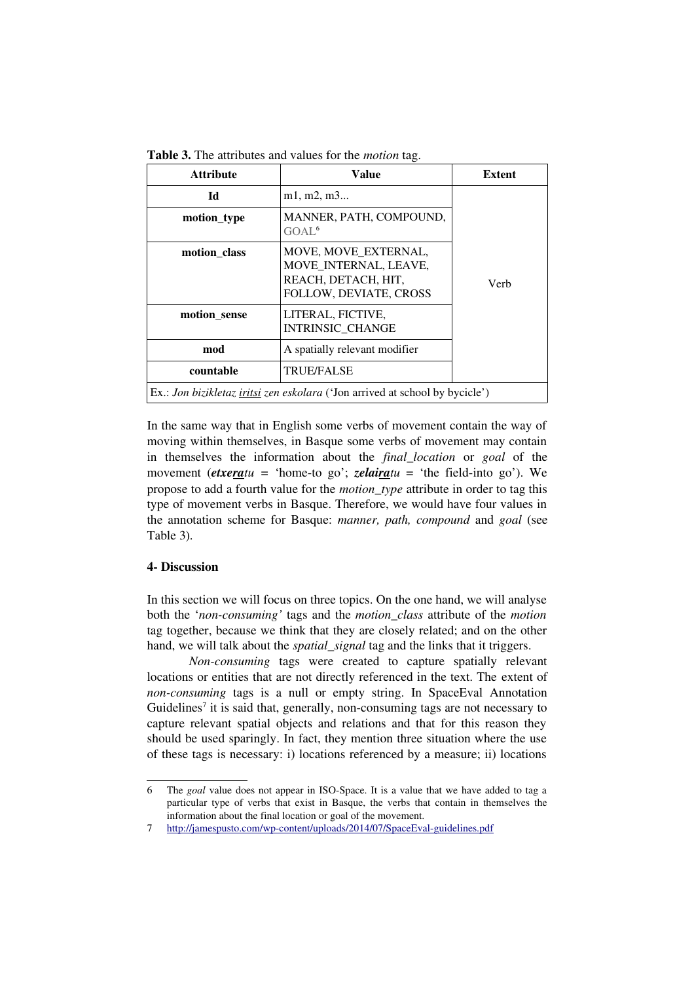| <b>Attribute</b>                                                                           | Value                                                                                          | <b>Extent</b> |
|--------------------------------------------------------------------------------------------|------------------------------------------------------------------------------------------------|---------------|
| Ы                                                                                          | m1, m2, m3                                                                                     |               |
| motion_type                                                                                | MANNER, PATH, COMPOUND,<br>GOAL <sup>6</sup>                                                   |               |
| motion_class                                                                               | MOVE, MOVE_EXTERNAL,<br>MOVE INTERNAL, LEAVE,<br>REACH, DETACH, HIT,<br>FOLLOW, DEVIATE, CROSS | Verh          |
| motion_sense                                                                               | LITERAL, FICTIVE,<br><b>INTRINSIC CHANGE</b>                                                   |               |
| mod                                                                                        | A spatially relevant modifier                                                                  |               |
| countable                                                                                  | <b>TRUE/FALSE</b>                                                                              |               |
| Ex.: <i>Jon bizikletaz <u>iritsi</u> zen eskolara</i> ('Jon arrived at school by bycicle') |                                                                                                |               |

Table 3. The attributes and values for the *motion* tag.

In the same way that in English some verbs of movement contain the way of moving within themselves, in Basque some verbs of movement may contain in themselves the information about the *final\_location* or *goal* of the movement (*etxeratu* = 'home-to go'; *zelairatu* = 'the field-into go'). We propose to add a fourth value for the *motion\_type* attribute in order to tag this type of movement verbs in Basque. Therefore, we would have four values in the annotation scheme for Basque: *manner*, path, compound and goal (see Table 3)*.* 

## 4- Discussion

In this section we will focus on three topics. On the one hand, we will analyse both the '*nonconsuming'* tags and the *motion\_class* attribute of the *motion* tag together, because we think that they are closely related; and on the other hand, we will talk about the *spatial signal* tag and the links that it triggers.

*Non-consuming* tags were created to capture spatially relevant locations or entities that are not directly referenced in the text. The extent of *non-consuming tags is a null or empty string. In SpaceEval Annotation* Guidelines<sup>[7](#page-4-1)</sup> it is said that, generally, non-consuming tags are not necessary to capture relevant spatial objects and relations and that for this reason they should be used sparingly. In fact, they mention three situation where the use of these tags is necessary: i) locations referenced by a measure; ii) locations

<span id="page-4-0"></span><sup>6</sup> The *goal* value does not appear in ISOSpace. It is a value that we have added to tag a particular type of verbs that exist in Basque, the verbs that contain in themselves the information about the final location or goal of the movement.

<span id="page-4-1"></span><sup>7</sup> http://jamespusto.com/wp-content/uploads/2014/07/SpaceEval-guidelines.pdf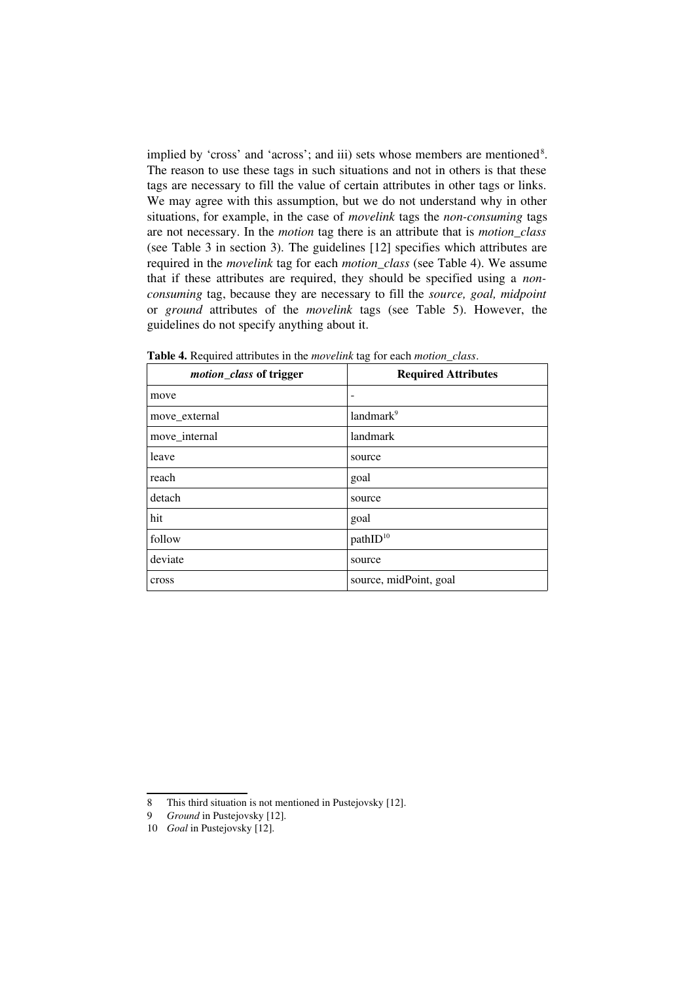implied by 'cross' and 'across'; and iii) sets whose members are mentioned<sup>[8](#page-5-0)</sup>. The reason to use these tags in such situations and not in others is that these tags are necessary to fill the value of certain attributes in other tags or links. We may agree with this assumption, but we do not understand why in other situations, for example, in the case of *movelink* tags the *nonconsuming* tags are not necessary. In the *motion* tag there is an attribute that is *motion\_class* (see Table 3 in section 3)*.* The guidelines [12] specifies which attributes are required in the *movelink* tag for each *motion\_class* (see Table 4). We assume that if these attributes are required, they should be specified using a *nonconsuming* tag, because they are necessary to fill the *source, goal, midpoint* or *ground* attributes of the *movelink* tags (see Table 5). However, the guidelines do not specify anything about it.

| motion_class of trigger | <b>Required Attributes</b> |
|-------------------------|----------------------------|
| move                    |                            |
| move_external           | landmark <sup>9</sup>      |
| move_internal           | landmark                   |
| leave                   | source                     |
| reach                   | goal                       |
| detach                  | source                     |
| hit                     | goal                       |
| follow                  | pathID <sup>10</sup>       |
| deviate                 | source                     |
| cross                   | source, midPoint, goal     |

Table 4. Required attributes in the *movelink* tag for each *motion\_class*.

<span id="page-5-0"></span><sup>8</sup> This third situation is not mentioned in Pustejovsky [12].

<span id="page-5-1"></span><sup>9</sup> *Ground* in Pustejovsky [12].

<span id="page-5-2"></span><sup>10</sup> *Goal* in Pustejovsky [12].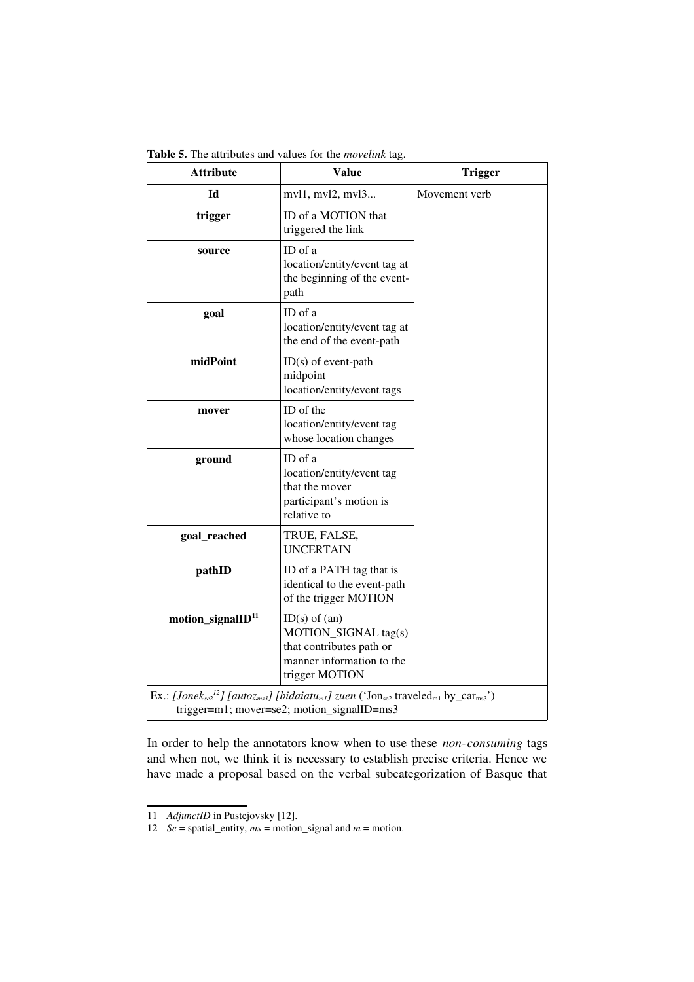Table 5. The attributes and values for the *movelink* tag.

| <b>Attribute</b>                                                                                                                                                                                                     | <b>Value</b>                                                                                                         | <b>Trigger</b> |  |
|----------------------------------------------------------------------------------------------------------------------------------------------------------------------------------------------------------------------|----------------------------------------------------------------------------------------------------------------------|----------------|--|
| Id                                                                                                                                                                                                                   | mvl1, mvl2, mvl3                                                                                                     | Movement verb  |  |
| trigger                                                                                                                                                                                                              | ID of a MOTION that<br>triggered the link                                                                            |                |  |
| source                                                                                                                                                                                                               | ID of a<br>location/entity/event tag at<br>the beginning of the event-<br>path                                       |                |  |
| goal                                                                                                                                                                                                                 | ID of a<br>location/entity/event tag at<br>the end of the event-path                                                 |                |  |
| midPoint                                                                                                                                                                                                             | $ID(s)$ of event-path<br>midpoint<br>location/entity/event tags                                                      |                |  |
| mover                                                                                                                                                                                                                | ID of the<br>location/entity/event tag<br>whose location changes                                                     |                |  |
| ground                                                                                                                                                                                                               | ID of a<br>location/entity/event tag<br>that the mover<br>participant's motion is<br>relative to                     |                |  |
| goal_reached                                                                                                                                                                                                         | TRUE, FALSE,<br><b>UNCERTAIN</b>                                                                                     |                |  |
| pathID                                                                                                                                                                                                               | ID of a PATH tag that is<br>identical to the event-path<br>of the trigger MOTION                                     |                |  |
| motion_signalID <sup>11</sup>                                                                                                                                                                                        | $ID(s)$ of $(an)$<br>MOTION_SIGNAL tag(s)<br>that contributes path or<br>manner information to the<br>trigger MOTION |                |  |
| Ex.: [Jonek <sub>se2</sub> <sup>12</sup> ] [autoz <sub>ms3</sub> ] [bidaiatu <sub>m1</sub> ] zuen ('Jon <sub>se2</sub> traveled <sub>m1</sub> by_car <sub>ms3</sub> ')<br>trigger=m1; mover=se2; motion_signalID=ms3 |                                                                                                                      |                |  |

In order to help the annotators know when to use these *non-consuming* tags and when not, we think it is necessary to establish precise criteria. Hence we have made a proposal based on the verbal subcategorization of Basque that

<span id="page-6-0"></span><sup>11</sup> *AdjunctID* in Pustejovsky [12].

<span id="page-6-1"></span><sup>12</sup> *Se* = spatial\_entity, *ms* = motion\_signal and *m* = motion.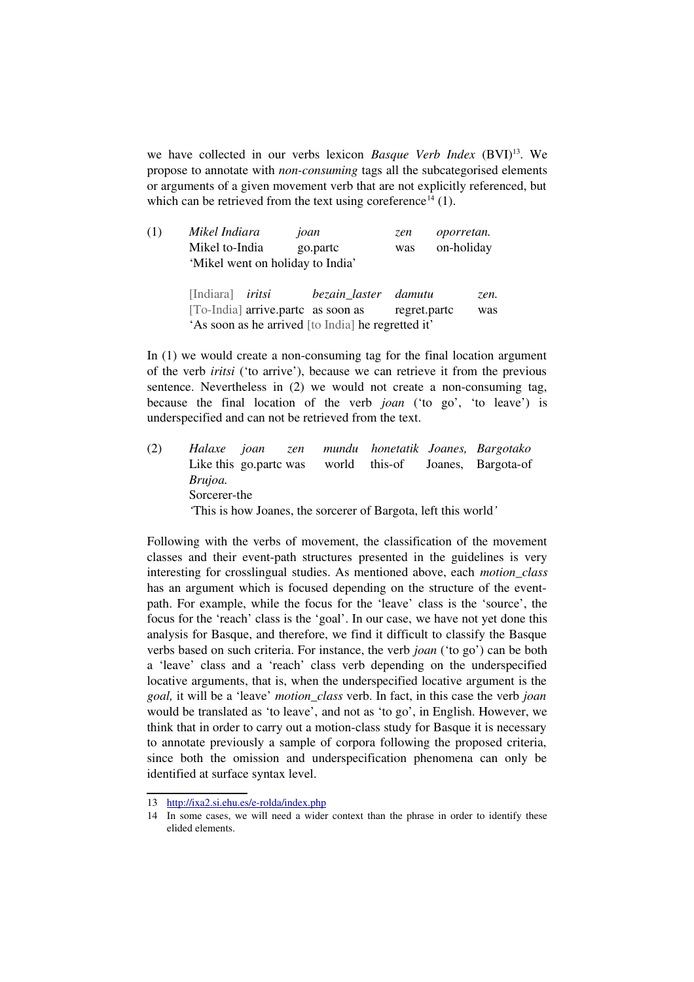we have collected in our verbs lexicon *Basque Verb Index* (BVI)<sup>[13](#page-7-0)</sup>. We propose to annotate with *non-consuming* tags all the subcategorised elements or arguments of a given movement verb that are not explicitly referenced, but which can be retrieved from the text using coreference<sup>[14](#page-7-1)</sup> (1).

| (1) | Mikel Indiara                    | joan     | zen | oporretan. |
|-----|----------------------------------|----------|-----|------------|
|     | Mikel to-India                   | go.partc | was | on-holiday |
|     | 'Mikel went on holiday to India' |          |     |            |

| [Indiara] <i>iritsi</i> |                                    | bezain_laster damutu                               |              | zen. |
|-------------------------|------------------------------------|----------------------------------------------------|--------------|------|
|                         | [To-India] arrive.partc as soon as |                                                    | regret.partc | was  |
|                         |                                    | 'As soon as he arrived [to India] he regretted it' |              |      |

In  $(1)$  we would create a non-consuming tag for the final location argument of the verb *iritsi* ('to arrive'), because we can retrieve it from the previous sentence. Nevertheless in (2) we would not create a non-consuming tag, because the final location of the verb *joan* ('to go', 'to leave') is underspecified and can not be retrieved from the text.

(2) *Halaxe joan zen mundu honetatik Joanes, Bargotako* Like this go.partc was world this-of Joanes, Bargota-of *Brujoa.* Sorcerer-the *'*This is how Joanes, the sorcerer of Bargota, left this world*'*

Following with the verbs of movement, the classification of the movement classes and their event-path structures presented in the guidelines is very interesting for crosslingual studies. As mentioned above, each *motion\_class* has an argument which is focused depending on the structure of the eventpath. For example, while the focus for the 'leave' class is the 'source', the focus for the 'reach' class is the 'goal'. In our case, we have not yet done this analysis for Basque, and therefore, we find it difficult to classify the Basque verbs based on such criteria. For instance, the verb *joan* ('to go') can be both a 'leave' class and a 'reach' class verb depending on the underspecified locative arguments, that is, when the underspecified locative argument is the *goal,* it will be a 'leave' *motion\_class* verb. In fact, in this case the verb *joan* would be translated as 'to leave', and not as 'to go', in English. However, we think that in order to carry out a motion-class study for Basque it is necessary to annotate previously a sample of corpora following the proposed criteria, since both the omission and underspecification phenomena can only be identified at surface syntax level.

<span id="page-7-0"></span><sup>13</sup> [http://ixa2.si.ehu.es/erolda/index.php](http://ixa2.si.ehu.es/e-rolda/index.php)

<span id="page-7-1"></span><sup>14</sup> In some cases, we will need a wider context than the phrase in order to identify these elided elements.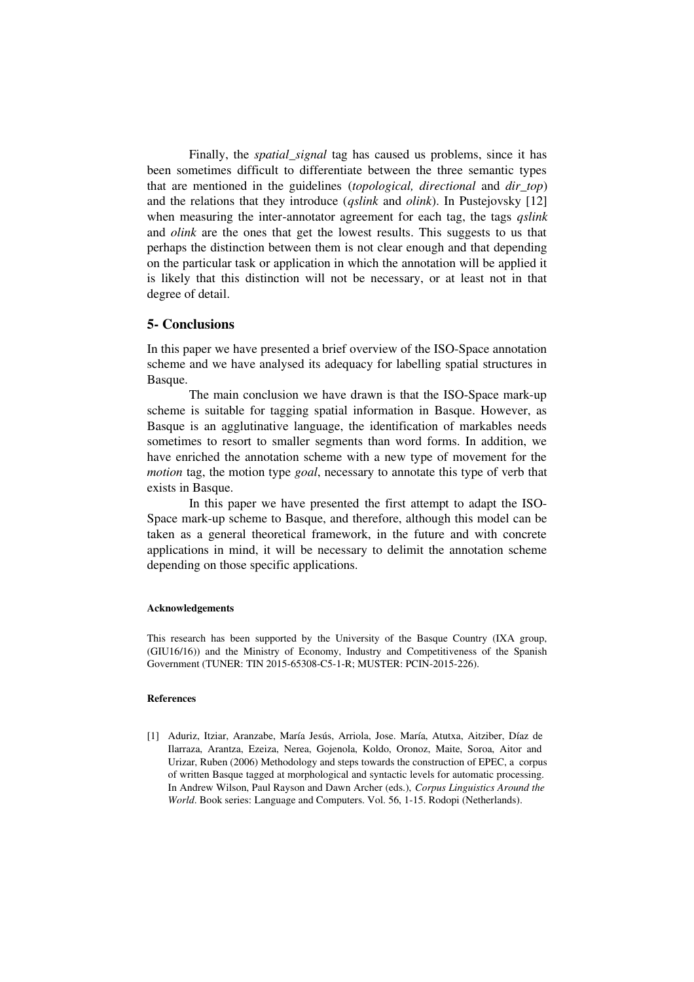Finally, the *spatial\_signal* tag has caused us problems, since it has been sometimes difficult to differentiate between the three semantic types that are mentioned in the guidelines *(topological, directional and dir top)* and the relations that they introduce (*qslink* and *olink*). In Pustejovsky [12] when measuring the inter-annotator agreement for each tag, the tags *qslink* and *olink* are the ones that get the lowest results. This suggests to us that perhaps the distinction between them is not clear enough and that depending on the particular task or application in which the annotation will be applied it is likely that this distinction will not be necessary, or at least not in that degree of detail.

## **5- Conclusions**

In this paper we have presented a brief overview of the ISO-Space annotation scheme and we have analysed its adequacy for labelling spatial structures in Basque.

The main conclusion we have drawn is that the ISO-Space mark-up scheme is suitable for tagging spatial information in Basque. However, as Basque is an agglutinative language, the identification of markables needs sometimes to resort to smaller segments than word forms. In addition, we have enriched the annotation scheme with a new type of movement for the *motion* tag, the motion type *goal*, necessary to annotate this type of verb that exists in Basque.

In this paper we have presented the first attempt to adapt the ISO-Space mark-up scheme to Basque, and therefore, although this model can be taken as a general theoretical framework, in the future and with concrete applications in mind, it will be necessary to delimit the annotation scheme depending on those specific applications.

### Acknowledgements

This research has been supported by the University of the Basque Country (IXA group, (GIU16/16)) and the Ministry of Economy, Industry and Competitiveness of the Spanish Government (TUNER: TIN 2015-65308-C5-1-R; MUSTER: PCIN-2015-226).

### References

[1] Aduriz, Itziar, Aranzabe, María Jesús, Arriola, Jose. María, Atutxa, Aitziber, Díaz de Ilarraza, Arantza, Ezeiza, Nerea, Gojenola, Koldo, Oronoz, Maite, Soroa, Aitor and Urizar, Ruben (2006) Methodology and steps towards the construction of EPEC, a corpus of written Basque tagged at morphological and syntactic levels for automatic processing. In Andrew Wilson, Paul Rayson and Dawn Archer (eds.), *Corpus Linguistics Around the World*. Book series: Language and Computers. Vol. 56, 1-15. Rodopi (Netherlands).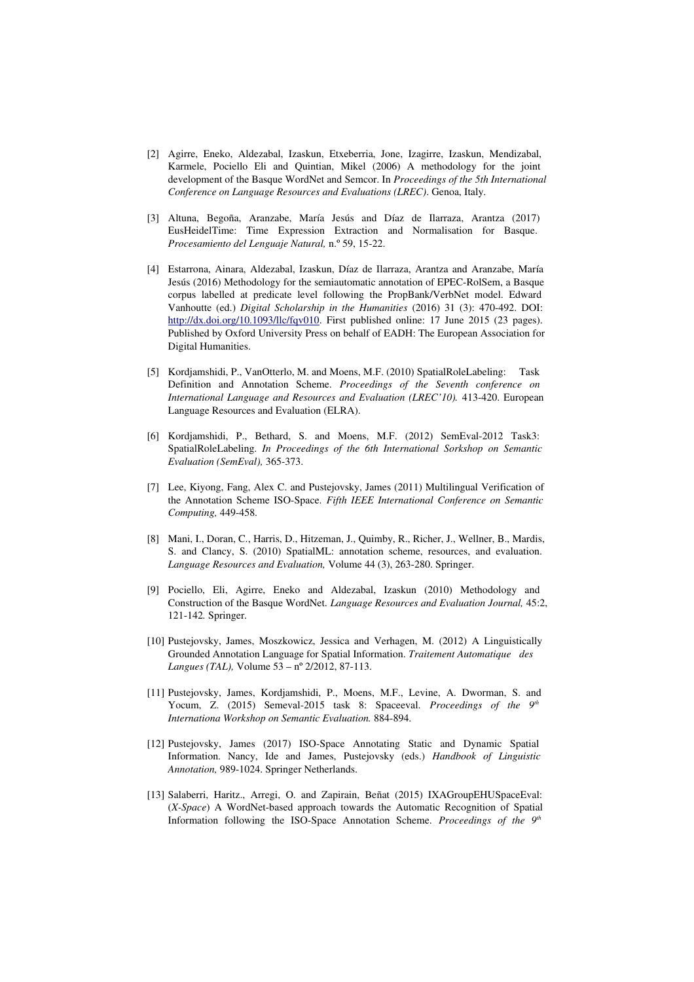- [2] Agirre, Eneko, Aldezabal, Izaskun, Etxeberria, Jone, Izagirre, Izaskun, Mendizabal, Karmele, Pociello Eli and Quintian, Mikel (2006) A methodology for the joint development of the Basque WordNet and Semcor. In *Proceedings of the 5th International Conference on Language Resources and Evaluations (LREC)*. Genoa, Italy.
- [3] Altuna, Begoña, Aranzabe, María Jesús and Díaz de Ilarraza, Arantza (2017) EusHeidelTime: Time Expression Extraction and Normalisation for Basque. Procesamiento del Lenguaje Natural, n.º 59, 15-22.
- [4] Estarrona, Ainara, Aldezabal, Izaskun, Díaz de Ilarraza, Arantza and Aranzabe, María Jesús (2016) Methodology for the semiautomatic annotation of EPEC-RolSem, a Basque corpus labelled at predicate level following the PropBank/VerbNet model. Edward Vanhoutte (ed.) *Digital Scholarship in the Humanities* (2016) 31 (3): 470492. DOI: [http://dx.doi.org/10.1093/llc/fqv010.](http://dx.doi.org/10.1093/llc/fqv010) First published online: 17 June 2015 (23 pages). Published by Oxford University Press on behalf of EADH: The European Association for Digital Humanities.
- [5] Kordjamshidi, P., VanOtterlo, M. and Moens, M.F. (2010) SpatialRoleLabeling: Task Definition and Annotation Scheme. Proceedings of the Seventh conference on *International Language and Resources and Evaluation (LREC'10).* 413-420. European Language Resources and Evaluation (ELRA).
- [6] Kordjamshidi, P., Bethard, S. and Moens, M.F. (2012) SemEval-2012 Task3: SpatialRoleLabeling. *In Proceedings of the 6th International Sorkshop on Semantic Evaluation (SemEval), 365-373.*
- [7] Lee, Kiyong, Fang, Alex C. and Pustejovsky, James (2011) Multilingual Verification of the Annotation Scheme ISO-Space. Fifth IEEE International Conference on Semantic *Computing, 449-458.*
- [8] Mani, I., Doran, C., Harris, D., Hitzeman, J., Quimby, R., Richer, J., Wellner, B., Mardis, S. and Clancy, S. (2010) SpatialML: annotation scheme, resources, and evaluation. *Language Resources and Evaluation, Volume 44 (3), 263-280. Springer.*
- [9] Pociello, Eli, Agirre, Eneko and Aldezabal, Izaskun (2010) Methodology and Construction of the Basque WordNet. *Language Resources and Evaluation Journal,* 45:2, 121142*.* Springer.
- [10] Pustejovsky, James, Moszkowicz, Jessica and Verhagen, M. (2012) A Linguistically Grounded Annotation Language for Spatial Information. *Traitement Automatique des Langues (TAL), Volume 53 – nº 2/2012, 87-113.*
- [11] Pustejovsky, James, Kordjamshidi, P., Moens, M.F., Levine, A. Dworman, S. and Yocum, Z. (2015) Semeval-2015 task 8: Spaceeval. *Proceedings of the 9<sup>th</sup> Internationa Workshop on Semantic Evaluation.* 884-894.
- [12] Pustejovsky, James (2017) ISO-Space Annotating Static and Dynamic Spatial Information. Nancy, Ide and James, Pustejovsky (eds.) *Handbook of Linguistic*  Annotation, 989-1024. Springer Netherlands.
- [13] Salaberri, Haritz., Arregi, O. and Zapirain, Beñat (2015) IXAGroupEHUSpaceEval: (*X-Space*) A WordNet-based approach towards the Automatic Recognition of Spatial Information following the ISO-Space Annotation Scheme. *Proceedings of the 9<sup>th</sup>*